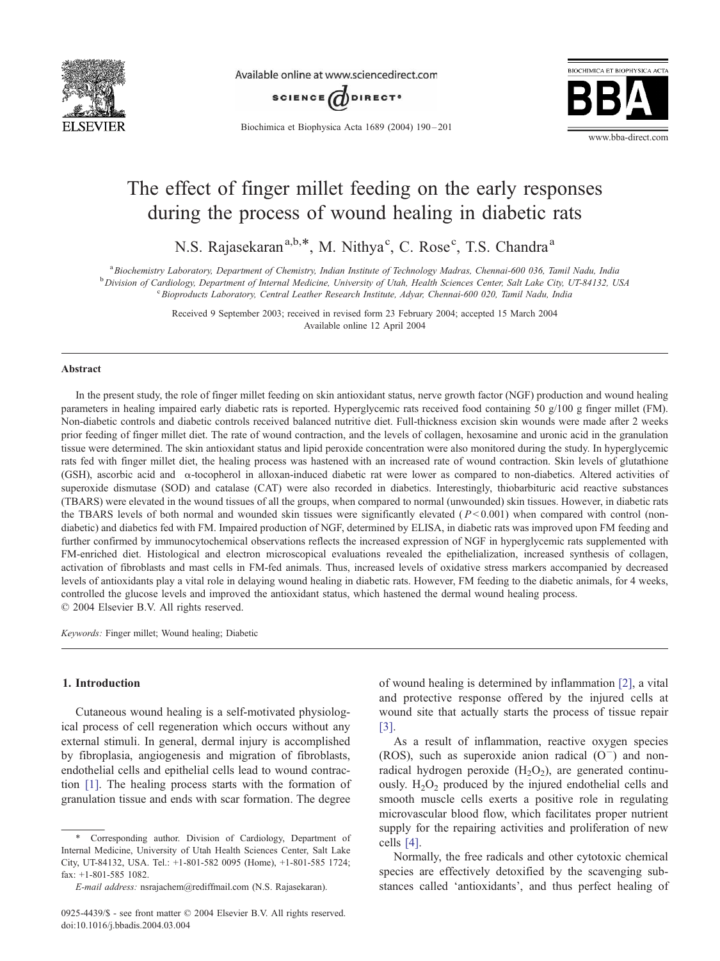

Available online at www.sciencedirect.com



Biochimica et Biophysica Acta 1689 (2004) 190-201



# The effect of finger millet feeding on the early responses during the process of wound healing in diabetic rats

N.S. Rajasekaran<sup>a,b,\*</sup>, M. Nithya<sup>c</sup>, C. Rose<sup>c</sup>, T.S. Chandra<sup>a</sup>

a *Biochemistry Laboratory, Department of Chemistry, Indian Institute of Technology Madras, Chennai-600 036, Tamil Nadu, India* <sup>b</sup>*Division of Cardiology, Department of Internal Medicine, University of Utah, Health Sciences Center, Salt Lake City, UT-84132, USA*

c *Bioproducts Laboratory, Central Leather Research Institute, Adyar, Chennai-600 020, Tamil Nadu, India*

Received 9 September 2003; received in revised form 23 February 2004; accepted 15 March 2004 Available online 12 April 2004

#### Abstract

In the present study, the role of finger millet feeding on skin antioxidant status, nerve growth factor (NGF) production and wound healing parameters in healing impaired early diabetic rats is reported. Hyperglycemic rats received food containing 50 g/100 g finger millet (FM). Non-diabetic controls and diabetic controls received balanced nutritive diet. Full-thickness excision skin wounds were made after 2 weeks prior feeding of finger millet diet. The rate of wound contraction, and the levels of collagen, hexosamine and uronic acid in the granulation tissue were determined. The skin antioxidant status and lipid peroxide concentration were also monitored during the study. In hyperglycemic rats fed with finger millet diet, the healing process was hastened with an increased rate of wound contraction. Skin levels of glutathione (GSH), ascorbic acid and a-tocopherol in alloxan-induced diabetic rat were lower as compared to non-diabetics. Altered activities of superoxide dismutase (SOD) and catalase (CAT) were also recorded in diabetics. Interestingly, thiobarbituric acid reactive substances (TBARS) were elevated in the wound tissues of all the groups, when compared to normal (unwounded) skin tissues. However, in diabetic rats the TBARS levels of both normal and wounded skin tissues were significantly elevated ( $P < 0.001$ ) when compared with control (nondiabetic) and diabetics fed with FM. Impaired production of NGF, determined by ELISA, in diabetic rats was improved upon FM feeding and further confirmed by immunocytochemical observations reflects the increased expression of NGF in hyperglycemic rats supplemented with FM-enriched diet. Histological and electron microscopical evaluations revealed the epithelialization, increased synthesis of collagen, activation of fibroblasts and mast cells in FM-fed animals. Thus, increased levels of oxidative stress markers accompanied by decreased levels of antioxidants play a vital role in delaying wound healing in diabetic rats. However, FM feeding to the diabetic animals, for 4 weeks, controlled the glucose levels and improved the antioxidant status, which hastened the dermal wound healing process.  $\odot$  2004 Elsevier B.V. All rights reserved.

*Keywords:* Finger millet; Wound healing; Diabetic

## 1. Introduction

Cutaneous wound healing is a self-motivated physiological process of cell regeneration which occurs without any external stimuli. In general, dermal injury is accomplished by fibroplasia, angiogenesis and migration of fibroblasts, endothelial cells and epithelial cells lead to wound contraction [1]. The healing process starts with the formation of granulation tissue and ends with scar formation. The degree

of wound healing is determined by inflammation [2], a vital and protective response offered by the injured cells at wound site that actually starts the process of tissue repair [3].

As a result of inflammation, reactive oxygen species (ROS), such as superoxide anion radical  $(O^-)$  and nonradical hydrogen peroxide  $(H_2O_2)$ , are generated continuously.  $H_2O_2$  produced by the injured endothelial cells and smooth muscle cells exerts a positive role in regulating microvascular blood flow, which facilitates proper nutrient supply for the repairing activities and proliferation of new cells [4].

Normally, the free radicals and other cytotoxic chemical species are effectively detoxified by the scavenging substances called 'antioxidants', and thus perfect healing of

Corresponding author. Division of Cardiology, Department of Internal Medicine, University of Utah Health Sciences Center, Salt Lake City, UT-84132, USA. Tel.: +1-801-582 0095 (Home), +1-801-585 1724; fax: +1-801-585 1082.

*E-mail address:* nsrajachem@rediffmail.com (N.S. Rajasekaran).

<sup>0925-4439/\$ -</sup> see front matter  $\odot$  2004 Elsevier B.V. All rights reserved. doi:10.1016/j.bbadis.2004.03.004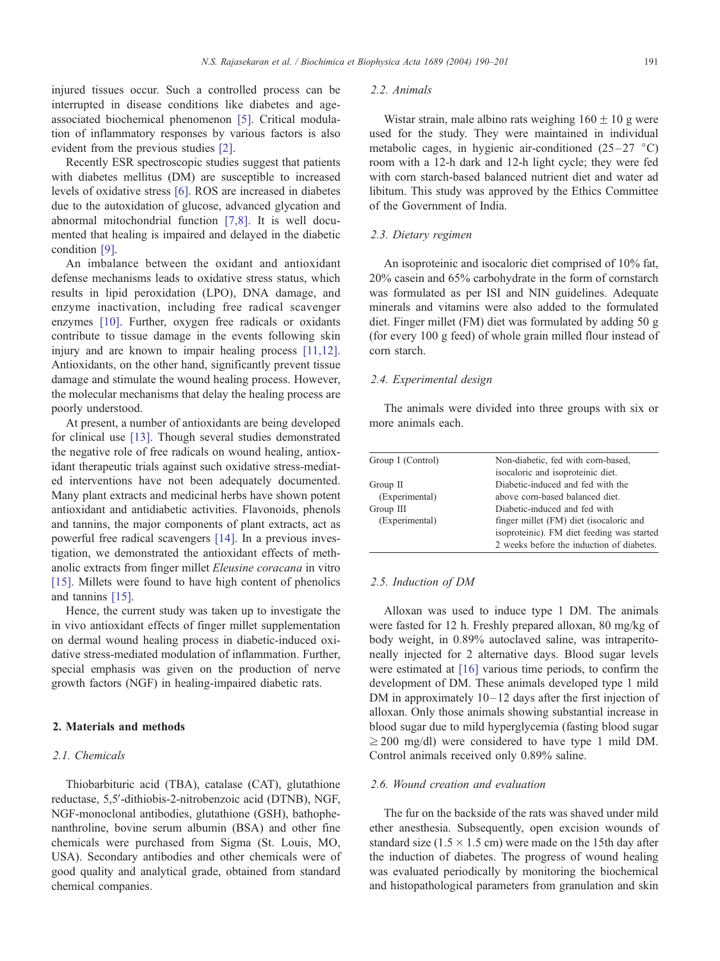Recently ESR spectroscopic studies suggest that patients with diabetes mellitus (DM) are susceptible to increased levels of oxidative stress [6]. ROS are increased in diabetes due to the autoxidation of glucose, advanced glycation and abnormal mitochondrial function [7,8]. It is well documented that healing is impaired and delayed in the diabetic condition [9].

An imbalance between the oxidant and antioxidant defense mechanisms leads to oxidative stress status, which results in lipid peroxidation (LPO), DNA damage, and enzyme inactivation, including free radical scavenger enzymes [10]. Further, oxygen free radicals or oxidants contribute to tissue damage in the events following skin injury and are known to impair healing process [11,12]. Antioxidants, on the other hand, significantly prevent tissue damage and stimulate the wound healing process. However, the molecular mechanisms that delay the healing process are poorly understood.

At present, a number of antioxidants are being developed for clinical use [13]. Though several studies demonstrated the negative role of free radicals on wound healing, antioxidant therapeutic trials against such oxidative stress-mediated interventions have not been adequately documented. Many plant extracts and medicinal herbs have shown potent antioxidant and antidiabetic activities. Flavonoids, phenols and tannins, the major components of plant extracts, act as powerful free radical scavengers [14]. In a previous investigation, we demonstrated the antioxidant effects of methanolic extracts from finger millet *Eleusine coracana* in vitro [15]. Millets were found to have high content of phenolics and tannins [15].

Hence, the current study was taken up to investigate the in vivo antioxidant effects of finger millet supplementation on dermal wound healing process in diabetic-induced oxidative stress-mediated modulation of inflammation. Further, special emphasis was given on the production of nerve growth factors (NGF) in healing-impaired diabetic rats.

#### 2. Materials and methods

## *2.1. Chemicals*

Thiobarbituric acid (TBA), catalase (CAT), glutathione reductase, 5,5'-dithiobis-2-nitrobenzoic acid (DTNB), NGF, NGF-monoclonal antibodies, glutathione (GSH), bathophenanthroline, bovine serum albumin (BSA) and other fine chemicals were purchased from Sigma (St. Louis, MO, USA). Secondary antibodies and other chemicals were of good quality and analytical grade, obtained from standard chemical companies.

#### *2.2. Animals*

Wistar strain, male albino rats weighing  $160 \pm 10$  g were used for the study. They were maintained in individual metabolic cages, in hygienic air-conditioned  $(25-27 \degree C)$ room with a 12-h dark and 12-h light cycle; they were fed with corn starch-based balanced nutrient diet and water ad libitum. This study was approved by the Ethics Committee of the Government of India.

# *2.3. Dietary regimen*

An isoproteinic and isocaloric diet comprised of 10% fat, 20% casein and 65% carbohydrate in the form of cornstarch was formulated as per ISI and NIN guidelines. Adequate minerals and vitamins were also added to the formulated diet. Finger millet (FM) diet was formulated by adding 50 g (for every 100 g feed) of whole grain milled flour instead of corn starch.

# *2.4. Experimental design*

The animals were divided into three groups with six or more animals each.

| Group I (Control) | Non-diabetic, fed with corn-based,         |  |  |
|-------------------|--------------------------------------------|--|--|
|                   | isocaloric and isoproteinic diet.          |  |  |
| Group II          | Diabetic-induced and fed with the          |  |  |
| (Experimental)    | above corn-based balanced diet.            |  |  |
| Group III         | Diabetic-induced and fed with              |  |  |
| (Experimental)    | finger millet (FM) diet (isocaloric and    |  |  |
|                   | isoproteinic). FM diet feeding was started |  |  |
|                   | 2 weeks before the induction of diabetes.  |  |  |

#### *2.5. Induction of DM*

Alloxan was used to induce type 1 DM. The animals were fasted for 12 h. Freshly prepared alloxan, 80 mg/kg of body weight, in 0.89% autoclaved saline, was intraperitoneally injected for 2 alternative days. Blood sugar levels were estimated at [16] various time periods, to confirm the development of DM. These animals developed type 1 mild DM in approximately  $10-12$  days after the first injection of alloxan. Only those animals showing substantial increase in blood sugar due to mild hyperglycemia (fasting blood sugar  $\geq$  200 mg/dl) were considered to have type 1 mild DM. Control animals received only 0.89% saline.

#### *2.6. Wound creation and evaluation*

The fur on the backside of the rats was shaved under mild ether anesthesia. Subsequently, open excision wounds of standard size  $(1.5 \times 1.5 \text{ cm})$  were made on the 15th day after the induction of diabetes. The progress of wound healing was evaluated periodically by monitoring the biochemical and histopathological parameters from granulation and skin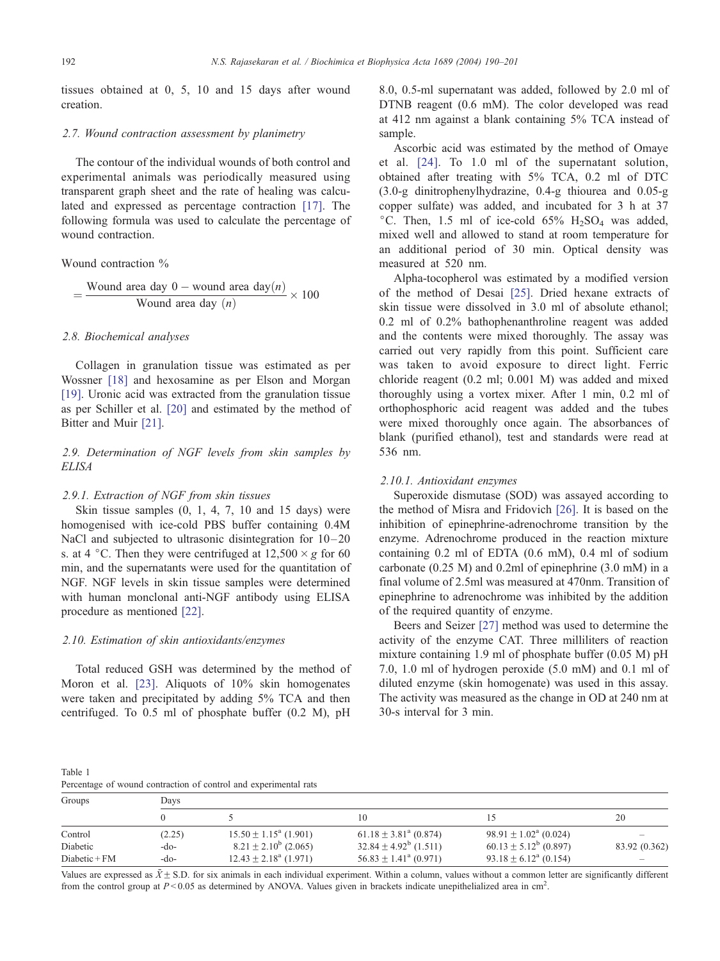tissues obtained at 0, 5, 10 and 15 days after wound creation.

#### *2.7. Wound contraction assessment by planimetry*

The contour of the individual wounds of both control and experimental animals was periodically measured using transparent graph sheet and the rate of healing was calculated and expressed as percentage contraction [17]. The following formula was used to calculate the percentage of wound contraction.

Wound contraction %

$$
= \frac{\text{Wound area day 0 - wound area day}(n)}{\text{Wound area day}(n)} \times 100
$$

#### *2.8. Biochemical analyses*

Collagen in granulation tissue was estimated as per Wossner [18] and hexosamine as per Elson and Morgan [19]. Uronic acid was extracted from the granulation tissue as per Schiller et al. [20] and estimated by the method of Bitter and Muir [21].

*2.9. Determination of NGF levels from skin samples by ELISA*

#### *2.9.1. Extraction of NGF from skin tissues*

Skin tissue samples  $(0, 1, 4, 7, 10, 15, 15)$  days) were homogenised with ice-cold PBS buffer containing 0.4M NaCl and subjected to ultrasonic disintegration for  $10-20$ s. at 4 °C. Then they were centrifuged at  $12,500 \times g$  for 60 min, and the supernatants were used for the quantitation of NGF. NGF levels in skin tissue samples were determined with human monclonal anti-NGF antibody using ELISA procedure as mentioned [22].

## *2.10. Estimation of skin antioxidants/enzymes*

Total reduced GSH was determined by the method of Moron et al. [23]. Aliquots of 10% skin homogenates were taken and precipitated by adding 5% TCA and then centrifuged. To 0.5 ml of phosphate buffer (0.2 M), pH

8.0, 0.5-ml supernatant was added, followed by 2.0 ml of DTNB reagent (0.6 mM). The color developed was read at 412 nm against a blank containing 5% TCA instead of sample.

Ascorbic acid was estimated by the method of Omaye et al. [24]. To 1.0 ml of the supernatant solution, obtained after treating with 5% TCA, 0.2 ml of DTC (3.0-g dinitrophenylhydrazine, 0.4-g thiourea and 0.05-g copper sulfate) was added, and incubated for 3 h at 37  $^{\circ}$ C. Then, 1.5 ml of ice-cold 65% H<sub>2</sub>SO<sub>4</sub> was added, mixed well and allowed to stand at room temperature for an additional period of 30 min. Optical density was measured at 520 nm.

Alpha-tocopherol was estimated by a modified version of the method of Desai [25]. Dried hexane extracts of skin tissue were dissolved in 3.0 ml of absolute ethanol; 0.2 ml of 0.2% bathophenanthroline reagent was added and the contents were mixed thoroughly. The assay was carried out very rapidly from this point. Sufficient care was taken to avoid exposure to direct light. Ferric chloride reagent (0.2 ml; 0.001 M) was added and mixed thoroughly using a vortex mixer. After 1 min, 0.2 ml of orthophosphoric acid reagent was added and the tubes were mixed thoroughly once again. The absorbances of blank (purified ethanol), test and standards were read at 536 nm.

#### *2.10.1. Antioxidant enzymes*

Superoxide dismutase (SOD) was assayed according to the method of Misra and Fridovich [26]. It is based on the inhibition of epinephrine-adrenochrome transition by the enzyme. Adrenochrome produced in the reaction mixture containing 0.2 ml of EDTA (0.6 mM), 0.4 ml of sodium carbonate (0.25 M) and 0.2ml of epinephrine (3.0 mM) in a final volume of 2.5ml was measured at 470nm. Transition of epinephrine to adrenochrome was inhibited by the addition of the required quantity of enzyme.

Beers and Seizer [27] method was used to determine the activity of the enzyme CAT. Three milliliters of reaction mixture containing 1.9 ml of phosphate buffer (0.05 M) pH 7.0, 1.0 ml of hydrogen peroxide (5.0 mM) and 0.1 ml of diluted enzyme (skin homogenate) was used in this assay. The activity was measured as the change in OD at 240 nm at 30-s interval for 3 min.

Table 1 Percentage of wound contraction of control and experimental rats

| Groups         | Days   |                                  |                                  |                                     |               |  |  |
|----------------|--------|----------------------------------|----------------------------------|-------------------------------------|---------------|--|--|
|                |        |                                  |                                  |                                     | 20            |  |  |
| Control        | (2.25) | $15.50 \pm 1.15^{\rm a}$ (1.901) | $61.18 \pm 3.81^{\circ}$ (0.874) | $98.91 \pm 1.02^{\text{a}} (0.024)$ |               |  |  |
| Diabetic       | -do-   | $8.21 \pm 2.10^b$ (2.065)        | $32.84 \pm 4.92^b$ (1.511)       | $60.13 \pm 5.12^b (0.897)$          | 83.92 (0.362) |  |  |
| Diabetic $+FM$ | -do-   | $12.43 \pm 2.18^{\circ}$ (1.971) | $56.83 \pm 1.41^{\circ}$ (0.971) | $93.18 \pm 6.12^{\text{a}} (0.154)$ |               |  |  |

Values are expressed as  $\bar{X}$  + S.D. for six animals in each individual experiment. Within a column, values without a common letter are significantly different from the control group at  $P < 0.05$  as determined by ANOVA. Values given in brackets indicate unepithelialized area in cm<sup>2</sup>.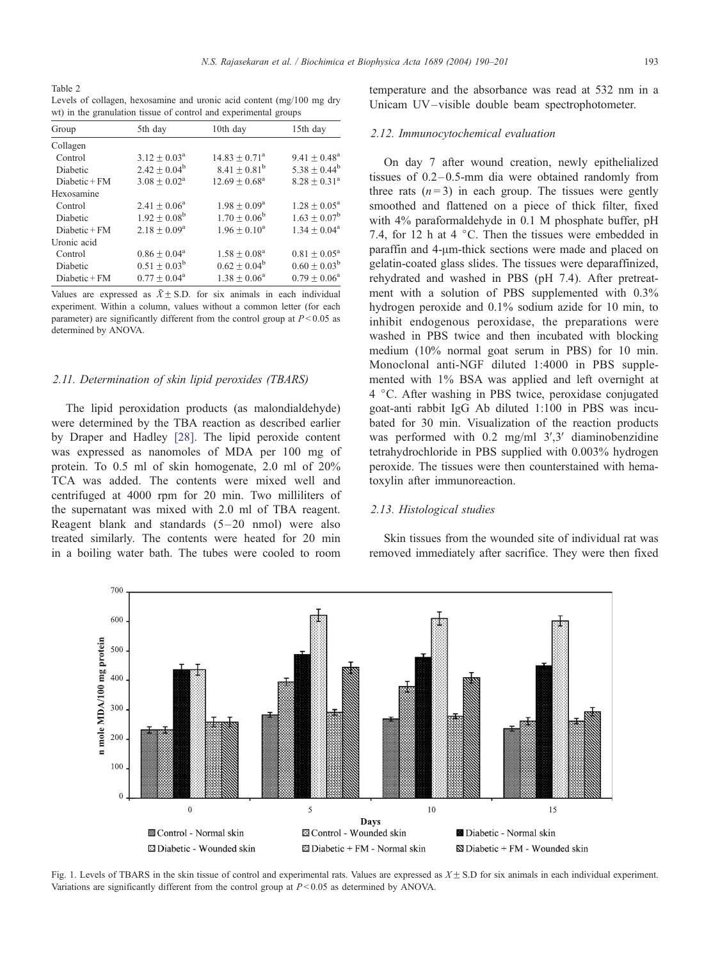Table 2 Levels of collagen, hexosamine and uronic acid content (mg/100 mg dry wt) in the granulation tissue of control and experimental groups

| Group           | 5th day                  | 10th day                | 15th day                 |
|-----------------|--------------------------|-------------------------|--------------------------|
| Collagen        |                          |                         |                          |
| Control         | $3.12 + 0.03^{\rm a}$    | $14.83 + 0.71^{\circ}$  | $9.41 + 0.48^{\circ}$    |
| <b>Diabetic</b> | $2.42 + 0.04^b$          | $8.41 + 0.81^b$         | $5.38 + 0.44^b$          |
| $Diabetic + FM$ | $3.08 \pm 0.02^a$        | $12.69 + 0.68^a$        | $8.28 \pm 0.31^a$        |
| Hexosamine      |                          |                         |                          |
| Control         | $2.41 + 0.06^a$          | $1.98 + 0.09^a$         | $1.28 + 0.05^{\text{a}}$ |
| Diabetic        | $1.92 \pm 0.08^{\rm b}$  | $1.70 \pm 0.06^{\rm b}$ | $1.63 \pm 0.07^{\rm b}$  |
| $Diabetic + FM$ | $2.18 + 0.09^a$          | $1.96 \pm 0.10^a$       | $1.34 + 0.04^a$          |
| Uronic acid     |                          |                         |                          |
| Control         | $0.86 + 0.04^a$          | $1.58 + 0.08^a$         | $0.81 + 0.05^{\text{a}}$ |
| Diabetic        | $0.51 + 0.03^b$          | $0.62 + 0.04^b$         | $0.60 \pm 0.03^b$        |
| $Diabetic + FM$ | $0.77 + 0.04^{\text{a}}$ | $1.38 + 0.06^a$         | $0.79 \pm 0.06^{\rm a}$  |

Values are expressed as  $\bar{X} \pm$  S.D. for six animals in each individual experiment. Within a column, values without a common letter (for each parameter) are significantly different from the control group at *P* < 0.05 as determined by ANOVA.

## *2.11. Determination of skin lipid peroxides (TBARS)*

The lipid peroxidation products (as malondialdehyde) were determined by the TBA reaction as described earlier by Draper and Hadley [28]. The lipid peroxide content was expressed as nanomoles of MDA per 100 mg of protein. To 0.5 ml of skin homogenate, 2.0 ml of 20% TCA was added. The contents were mixed well and centrifuged at 4000 rpm for 20 min. Two milliliters of the supernatant was mixed with 2.0 ml of TBA reagent. Reagent blank and standards  $(5-20 \text{ nmol})$  were also treated similarly. The contents were heated for 20 min in a boiling water bath. The tubes were cooled to room

temperature and the absorbance was read at 532 nm in a Unicam UV-visible double beam spectrophotometer.

#### *2.12. Immunocytochemical evaluation*

On day 7 after wound creation, newly epithelialized tissues of  $0.2 - 0.5$ -mm dia were obtained randomly from three rats  $(n=3)$  in each group. The tissues were gently smoothed and flattened on a piece of thick filter, fixed with 4% paraformaldehyde in 0.1 M phosphate buffer, pH 7.4, for 12 h at 4  $\degree$ C. Then the tissues were embedded in paraffin and 4-µm-thick sections were made and placed on gelatin-coated glass slides. The tissues were deparaffinized, rehydrated and washed in PBS (pH 7.4). After pretreatment with a solution of PBS supplemented with 0.3% hydrogen peroxide and 0.1% sodium azide for 10 min, to inhibit endogenous peroxidase, the preparations were washed in PBS twice and then incubated with blocking medium (10% normal goat serum in PBS) for 10 min. Monoclonal anti-NGF diluted 1:4000 in PBS supplemented with 1% BSA was applied and left overnight at 4 °C. After washing in PBS twice, peroxidase conjugated goat-anti rabbit IgG Ab diluted 1:100 in PBS was incubated for 30 min. Visualization of the reaction products was performed with  $0.2 \text{ mg/ml } 3',3'$  diaminobenzidine tetrahydrochloride in PBS supplied with 0.003% hydrogen peroxide. The tissues were then counterstained with hematoxylin after immunoreaction.

## *2.13. Histological studies*

Skin tissues from the wounded site of individual rat was removed immediately after sacrifice. They were then fixed



Fig. 1. Levels of TBARS in the skin tissue of control and experimental rats. Values are expressed as  $X + S.D$  for six animals in each individual experiment. Variations are significantly different from the control group at *P* < 0.05 as determined by ANOVA.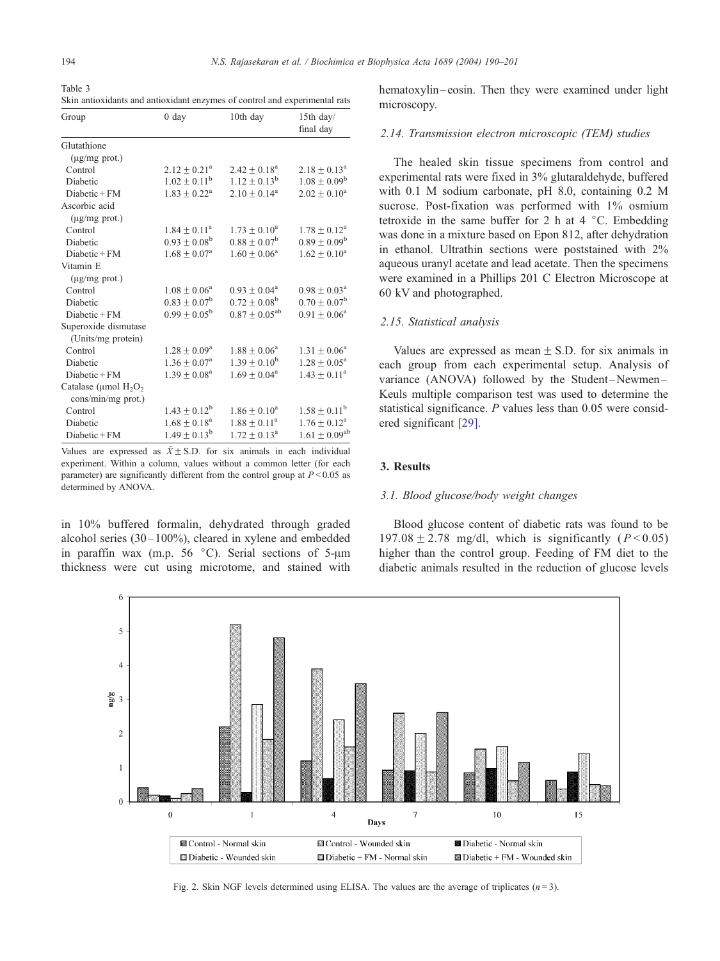Table 3 Skin antioxidants and antioxidant enzymes of control and experimental rats

| Group                                                                    | $0 \text{ day}$         | 10th day                 | $15th$ day/<br>final day |
|--------------------------------------------------------------------------|-------------------------|--------------------------|--------------------------|
| Glutathione                                                              |                         |                          |                          |
| $(\mu g/mg$ prot.)                                                       |                         |                          |                          |
| Control                                                                  | $2.12 + 0.21^a$         | $2.42 + 0.18^a$          | $2.18 + 0.13^a$          |
| Diabetic                                                                 | $1.02 \pm 0.11^{\rm b}$ | $1.12 \pm 0.13^b$        | $1.08 \pm 0.09^b$        |
| $Diabetic + FM$                                                          | $1.83 + 0.22^{\rm a}$   | $2.10 + 0.14^a$          | $2.02 + 0.10^a$          |
| Ascorbic acid                                                            |                         |                          |                          |
| $(\mu g/mg$ prot.)                                                       |                         |                          |                          |
| Control                                                                  | $1.84 \pm 0.11^a$       | $1.73 + 0.10^a$          | $1.78 + 0.12^a$          |
| Diabetic                                                                 | $0.93 \pm 0.08^{\rm b}$ | $0.88 \pm 0.07^{\rm b}$  | $0.89 \pm 0.09^{\rm b}$  |
| $Diabetic + FM$                                                          | $1.68 + 0.07^a$         | $1.60 + 0.06^a$          | $1.62 + 0.10^a$          |
| Vitamin E                                                                |                         |                          |                          |
| $(\mu g/mg$ prot.)                                                       |                         |                          |                          |
| Control                                                                  | $1.08 \pm 0.06^a$       | $0.93 \pm 0.04^a$        | $0.98 \pm 0.03^a$        |
| Diabetic                                                                 | $0.83 \pm 0.07^b$       | $0.72 + 0.08^b$          | $0.70 \pm 0.07^{\rm b}$  |
| $Diabetic + FM$                                                          | $0.99 \pm 0.05^{\rm b}$ | $0.87 \pm 0.05^{ab}$     | $0.91 \pm 0.06^a$        |
| Superoxide dismutase                                                     |                         |                          |                          |
| (Units/mg protein)                                                       |                         |                          |                          |
| Control                                                                  | $1.28 \pm 0.09^{\rm a}$ | $1.88 + 0.06^a$          | $1.31 \pm 0.06^a$        |
| Diabetic                                                                 | $1.36 \pm 0.07^{\rm a}$ | $1.39 \pm 0.10^b$        | $1.28 + 0.05^{\text{a}}$ |
| $Diabetic + FM$                                                          | $1.39 + 0.08^a$         | $1.69 + 0.04^a$          | $1.43 + 0.11^a$          |
| Catalase ( $\mu$ mol H <sub>2</sub> O <sub>2</sub><br>cons/min/mg prot.) |                         |                          |                          |
| Control                                                                  | $1.43 \pm 0.12^b$       | $1.86 \pm 0.10^a$        | $1.58 \pm 0.11^{\rm b}$  |
| Diabetic                                                                 | $1.68 \pm 0.18^a$       | $1.88 + 0.11^a$          | $1.76 \pm 0.12^a$        |
| $Diabetic + FM$                                                          | $1.49 \pm 0.13^b$       | $1.72 + 0.13^{\text{a}}$ | $1.61 \pm 0.09^{ab}$     |

Values are expressed as  $\bar{X} \pm$  S.D. for six animals in each individual experiment. Within a column, values without a common letter (for each parameter) are significantly different from the control group at  $P < 0.05$  as determined by ANOVA.

in 10% buffered formalin, dehydrated through graded alcohol series  $(30-100\%)$ , cleared in xylene and embedded in paraffin wax (m.p. 56  $^{\circ}$ C). Serial sections of 5- $\mu$ m thickness were cut using microtome, and stained with hematoxylin-eosin. Then they were examined under light microscopy.

#### *2.14. Transmission electron microscopic (TEM) studies*

The healed skin tissue specimens from control and experimental rats were fixed in 3% glutaraldehyde, buffered with 0.1 M sodium carbonate, pH 8.0, containing 0.2 M sucrose. Post-fixation was performed with 1% osmium tetroxide in the same buffer for 2 h at  $4^{\circ}$ C. Embedding was done in a mixture based on Epon 812, after dehydration in ethanol. Ultrathin sections were poststained with 2% aqueous uranyl acetate and lead acetate. Then the specimens were examined in a Phillips 201 C Electron Microscope at 60 kV and photographed.

## *2.15. Statistical analysis*

Values are expressed as mean  $\pm$  S.D. for six animals in each group from each experimental setup. Analysis of variance (ANOVA) followed by the Student-Newmen-Keuls multiple comparison test was used to determine the statistical significance. *P* values less than 0.05 were considered significant [29].

## 3. Results

#### *3.1. Blood glucose/body weight changes*

Blood glucose content of diabetic rats was found to be 197.08  $\pm$  2.78 mg/dl, which is significantly ( $P < 0.05$ ) higher than the control group. Feeding of FM diet to the diabetic animals resulted in the reduction of glucose levels



Fig. 2. Skin NGF levels determined using ELISA. The values are the average of triplicates  $(n=3)$ .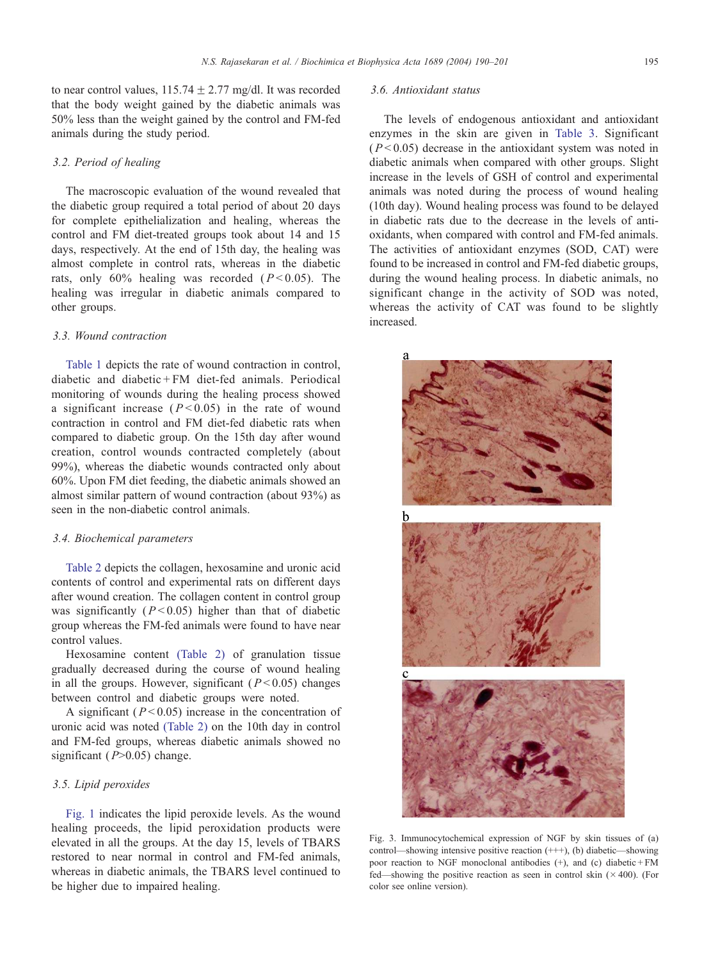to near control values,  $115.74 \pm 2.77$  mg/dl. It was recorded that the body weight gained by the diabetic animals was 50% less than the weight gained by the control and FM-fed animals during the study period.

## *3.2. Period of healing*

The macroscopic evaluation of the wound revealed that the diabetic group required a total period of about 20 days for complete epithelialization and healing, whereas the control and FM diet-treated groups took about 14 and 15 days, respectively. At the end of 15th day, the healing was almost complete in control rats, whereas in the diabetic rats, only  $60\%$  healing was recorded  $(P<0.05)$ . The healing was irregular in diabetic animals compared to other groups.

## *3.3. Wound contraction*

Table 1 depicts the rate of wound contraction in control, diabetic and diabetic + FM diet-fed animals. Periodical monitoring of wounds during the healing process showed a significant increase  $(P<0.05)$  in the rate of wound contraction in control and FM diet-fed diabetic rats when compared to diabetic group. On the 15th day after wound creation, control wounds contracted completely (about 99%), whereas the diabetic wounds contracted only about 60%. Upon FM diet feeding, the diabetic animals showed an almost similar pattern of wound contraction (about 93%) as seen in the non-diabetic control animals.

# *3.4. Biochemical parameters*

Table 2 depicts the collagen, hexosamine and uronic acid contents of control and experimental rats on different days after wound creation. The collagen content in control group was significantly  $(P<0.05)$  higher than that of diabetic group whereas the FM-fed animals were found to have near control values.

Hexosamine content (Table 2) of granulation tissue gradually decreased during the course of wound healing in all the groups. However, significant  $(P < 0.05)$  changes between control and diabetic groups were noted.

A significant  $(P<0.05)$  increase in the concentration of uronic acid was noted (Table 2) on the 10th day in control and FM-fed groups, whereas diabetic animals showed no significant (*P*>0.05) change.

# *3.5. Lipid peroxides*

Fig. 1 indicates the lipid peroxide levels. As the wound healing proceeds, the lipid peroxidation products were elevated in all the groups. At the day 15, levels of TBARS restored to near normal in control and FM-fed animals, whereas in diabetic animals, the TBARS level continued to be higher due to impaired healing.

## *3.6. Antioxidant status*

The levels of endogenous antioxidant and antioxidant enzymes in the skin are given in Table 3. Significant (*P* < 0.05) decrease in the antioxidant system was noted in diabetic animals when compared with other groups. Slight increase in the levels of GSH of control and experimental animals was noted during the process of wound healing (10th day). Wound healing process was found to be delayed in diabetic rats due to the decrease in the levels of antioxidants, when compared with control and FM-fed animals. The activities of antioxidant enzymes (SOD, CAT) were found to be increased in control and FM-fed diabetic groups, during the wound healing process. In diabetic animals, no significant change in the activity of SOD was noted, whereas the activity of CAT was found to be slightly increased.



Fig. 3. Immunocytochemical expression of NGF by skin tissues of (a) control—showing intensive positive reaction (+++), (b) diabetic—showing poor reaction to NGF monoclonal antibodies (+), and (c) diabetic + FM fed—showing the positive reaction as seen in control skin  $(\times\,400)$ . (For color see online version).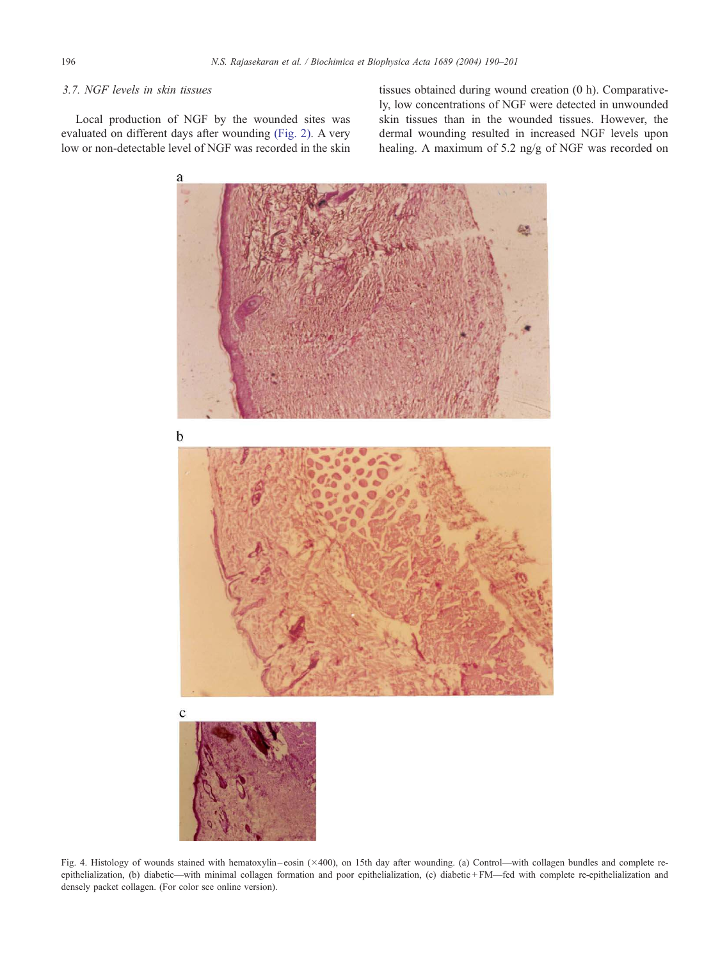# *3.7. NGF levels in skin tissues*

Local production of NGF by the wounded sites was evaluated on different days after wounding (Fig. 2). A very low or non-detectable level of NGF was recorded in the skin

tissues obtained during wound creation (0 h). Comparatively, low concentrations of NGF were detected in unwounded skin tissues than in the wounded tissues. However, the dermal wounding resulted in increased NGF levels upon healing. A maximum of 5.2 ng/g of NGF was recorded on



Fig. 4. Histology of wounds stained with hematoxylin-eosin (×400), on 15th day after wounding. (a) Control—with collagen bundles and complete reepithelialization, (b) diabetic—with minimal collagen formation and poor epithelialization, (c) diabetic + FM—fed with complete re-epithelialization and densely packet collagen. (For color see online version).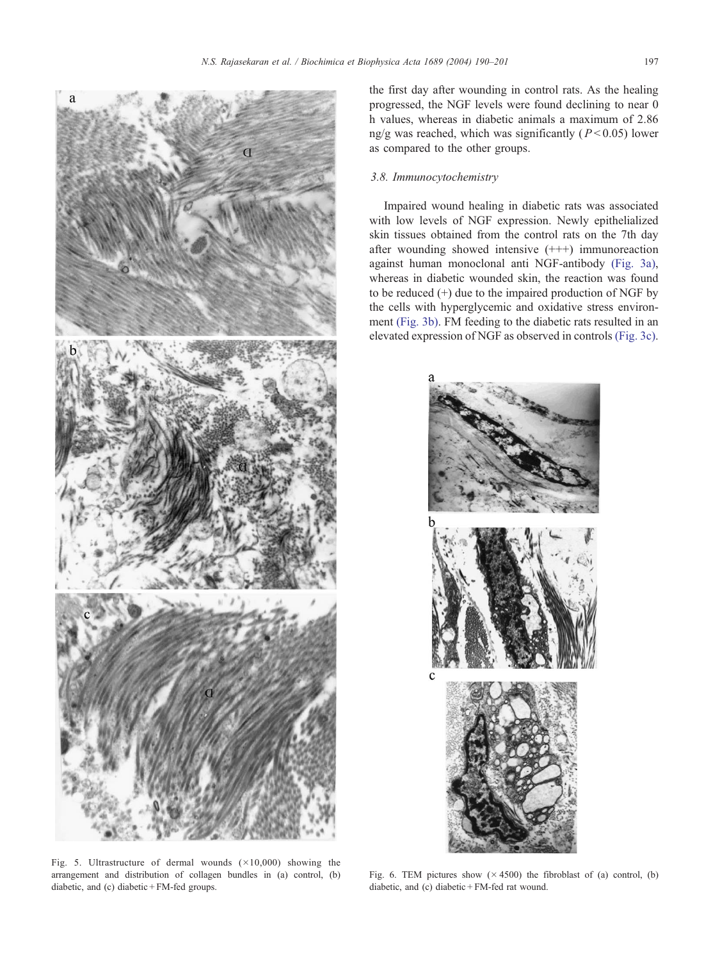

the first day after wounding in control rats. As the healing progressed, the NGF levels were found declining to near 0 h values, whereas in diabetic animals a maximum of 2.86 ng/g was reached, which was significantly  $(P<0.05)$  lower as compared to the other groups.

# *3.8. Immunocytochemistry*

Impaired wound healing in diabetic rats was associated with low levels of NGF expression. Newly epithelialized skin tissues obtained from the control rats on the 7th day after wounding showed intensive (+++) immunoreaction against human monoclonal anti NGF-antibody (Fig. 3a), whereas in diabetic wounded skin, the reaction was found to be reduced  $(+)$  due to the impaired production of NGF by the cells with hyperglycemic and oxidative stress environment (Fig. 3b). FM feeding to the diabetic rats resulted in an elevated expression of NGF as observed in controls (Fig. 3c).



Fig. 5. Ultrastructure of dermal wounds  $(\times 10,000)$  showing the arrangement and distribution of collagen bundles in (a) control, (b) diabetic, and (c) diabetic + FM-fed groups.

Fig. 6. TEM pictures show  $(\times 4500)$  the fibroblast of (a) control, (b) diabetic, and (c) diabetic + FM-fed rat wound.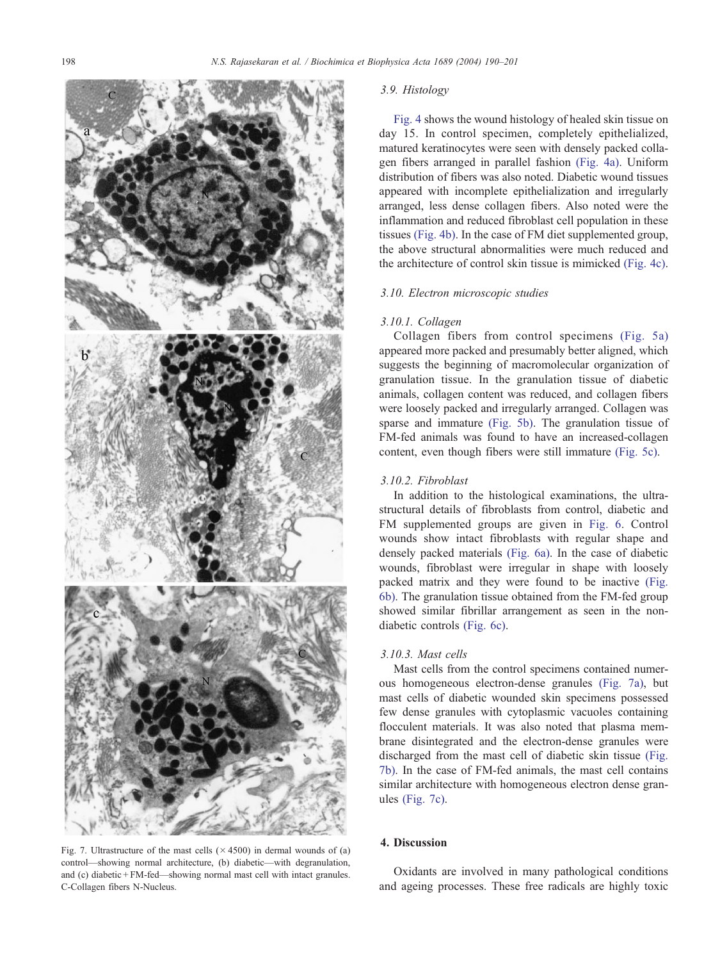

Fig. 7. Ultrastructure of the mast cells  $(\times 4500)$  in dermal wounds of (a) control—showing normal architecture, (b) diabetic—with degranulation, and (c) diabetic + FM-fed—showing normal mast cell with intact granules. C-Collagen fibers N-Nucleus.

## *3.9. Histology*

Fig. 4 shows the wound histology of healed skin tissue on day 15. In control specimen, completely epithelialized, matured keratinocytes were seen with densely packed collagen fibers arranged in parallel fashion (Fig. 4a). Uniform distribution of fibers was also noted. Diabetic wound tissues appeared with incomplete epithelialization and irregularly arranged, less dense collagen fibers. Also noted were the inflammation and reduced fibroblast cell population in these tissues (Fig. 4b). In the case of FM diet supplemented group, the above structural abnormalities were much reduced and the architecture of control skin tissue is mimicked (Fig. 4c).

#### *3.10. Electron microscopic studies*

#### *3.10.1. Collagen*

Collagen fibers from control specimens (Fig. 5a) appeared more packed and presumably better aligned, which suggests the beginning of macromolecular organization of granulation tissue. In the granulation tissue of diabetic animals, collagen content was reduced, and collagen fibers were loosely packed and irregularly arranged. Collagen was sparse and immature (Fig. 5b). The granulation tissue of FM-fed animals was found to have an increased-collagen content, even though fibers were still immature (Fig. 5c).

#### *3.10.2. Fibroblast*

In addition to the histological examinations, the ultrastructural details of fibroblasts from control, diabetic and FM supplemented groups are given in Fig. 6. Control wounds show intact fibroblasts with regular shape and densely packed materials (Fig. 6a). In the case of diabetic wounds, fibroblast were irregular in shape with loosely packed matrix and they were found to be inactive (Fig. 6b). The granulation tissue obtained from the FM-fed group showed similar fibrillar arrangement as seen in the nondiabetic controls (Fig. 6c).

#### *3.10.3. Mast cells*

Mast cells from the control specimens contained numerous homogeneous electron-dense granules (Fig. 7a), but mast cells of diabetic wounded skin specimens possessed few dense granules with cytoplasmic vacuoles containing flocculent materials. It was also noted that plasma membrane disintegrated and the electron-dense granules were discharged from the mast cell of diabetic skin tissue (Fig. 7b). In the case of FM-fed animals, the mast cell contains similar architecture with homogeneous electron dense granules (Fig. 7c).

### 4. Discussion

Oxidants are involved in many pathological conditions and ageing processes. These free radicals are highly toxic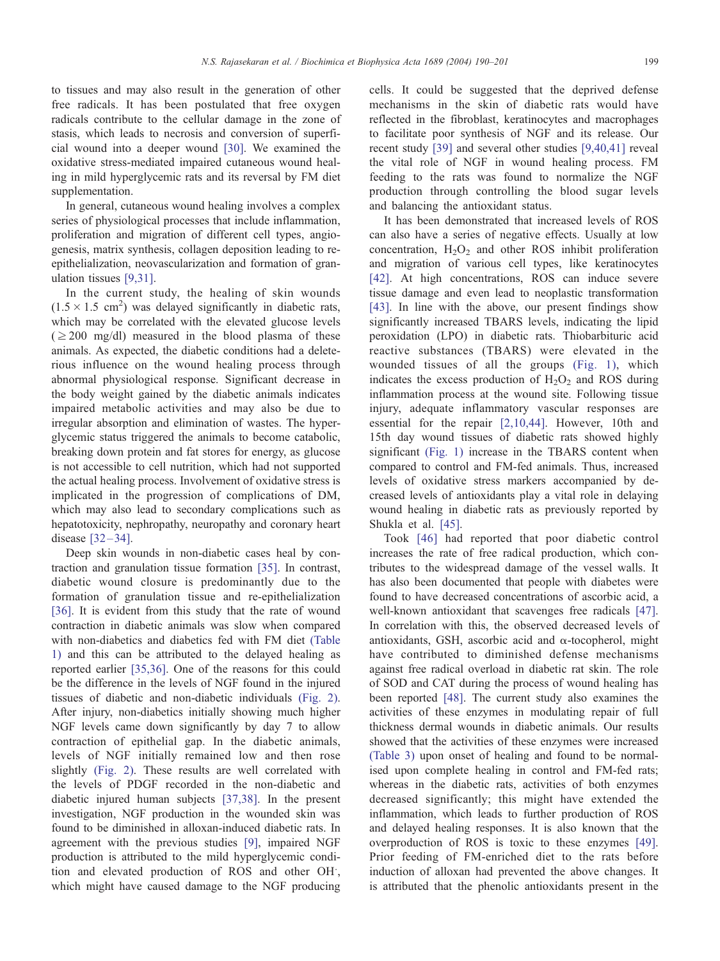to tissues and may also result in the generation of other free radicals. It has been postulated that free oxygen radicals contribute to the cellular damage in the zone of stasis, which leads to necrosis and conversion of superficial wound into a deeper wound [30]. We examined the oxidative stress-mediated impaired cutaneous wound healing in mild hyperglycemic rats and its reversal by FM diet supplementation.

In general, cutaneous wound healing involves a complex series of physiological processes that include inflammation, proliferation and migration of different cell types, angiogenesis, matrix synthesis, collagen deposition leading to reepithelialization, neovascularization and formation of granulation tissues [9,31].

In the current study, the healing of skin wounds  $(1.5 \times 1.5 \text{ cm}^2)$  was delayed significantly in diabetic rats, which may be correlated with the elevated glucose levels  $( \geq 200 \text{ mg/dl})$  measured in the blood plasma of these animals. As expected, the diabetic conditions had a deleterious influence on the wound healing process through abnormal physiological response. Significant decrease in the body weight gained by the diabetic animals indicates impaired metabolic activities and may also be due to irregular absorption and elimination of wastes. The hyperglycemic status triggered the animals to become catabolic, breaking down protein and fat stores for energy, as glucose is not accessible to cell nutrition, which had not supported the actual healing process. Involvement of oxidative stress is implicated in the progression of complications of DM, which may also lead to secondary complications such as hepatotoxicity, nephropathy, neuropathy and coronary heart disease  $[32-34]$ .

Deep skin wounds in non-diabetic cases heal by contraction and granulation tissue formation [35]. In contrast, diabetic wound closure is predominantly due to the formation of granulation tissue and re-epithelialization [36]. It is evident from this study that the rate of wound contraction in diabetic animals was slow when compared with non-diabetics and diabetics fed with FM diet (Table 1) and this can be attributed to the delayed healing as reported earlier [35,36]. One of the reasons for this could be the difference in the levels of NGF found in the injured tissues of diabetic and non-diabetic individuals (Fig. 2). After injury, non-diabetics initially showing much higher NGF levels came down significantly by day 7 to allow contraction of epithelial gap. In the diabetic animals, levels of NGF initially remained low and then rose slightly (Fig. 2). These results are well correlated with the levels of PDGF recorded in the non-diabetic and diabetic injured human subjects [37,38]. In the present investigation, NGF production in the wounded skin was found to be diminished in alloxan-induced diabetic rats. In agreement with the previous studies [9], impaired NGF production is attributed to the mild hyperglycemic condition and elevated production of ROS and other OH, which might have caused damage to the NGF producing cells. It could be suggested that the deprived defense mechanisms in the skin of diabetic rats would have reflected in the fibroblast, keratinocytes and macrophages to facilitate poor synthesis of NGF and its release. Our recent study [39] and several other studies [9,40,41] reveal the vital role of NGF in wound healing process. FM feeding to the rats was found to normalize the NGF production through controlling the blood sugar levels and balancing the antioxidant status.

It has been demonstrated that increased levels of ROS can also have a series of negative effects. Usually at low concentration,  $H_2O_2$  and other ROS inhibit proliferation and migration of various cell types, like keratinocytes [42]. At high concentrations, ROS can induce severe tissue damage and even lead to neoplastic transformation [43]. In line with the above, our present findings show significantly increased TBARS levels, indicating the lipid peroxidation (LPO) in diabetic rats. Thiobarbituric acid reactive substances (TBARS) were elevated in the wounded tissues of all the groups (Fig. 1), which indicates the excess production of  $H_2O_2$  and ROS during inflammation process at the wound site. Following tissue injury, adequate inflammatory vascular responses are essential for the repair [2,10,44]. However, 10th and 15th day wound tissues of diabetic rats showed highly significant (Fig. 1) increase in the TBARS content when compared to control and FM-fed animals. Thus, increased levels of oxidative stress markers accompanied by decreased levels of antioxidants play a vital role in delaying wound healing in diabetic rats as previously reported by Shukla et al. [45].

Took [46] had reported that poor diabetic control increases the rate of free radical production, which contributes to the widespread damage of the vessel walls. It has also been documented that people with diabetes were found to have decreased concentrations of ascorbic acid, a well-known antioxidant that scavenges free radicals [47]. In correlation with this, the observed decreased levels of antioxidants, GSH, ascorbic acid and  $\alpha$ -tocopherol, might have contributed to diminished defense mechanisms against free radical overload in diabetic rat skin. The role of SOD and CAT during the process of wound healing has been reported [48]. The current study also examines the activities of these enzymes in modulating repair of full thickness dermal wounds in diabetic animals. Our results showed that the activities of these enzymes were increased (Table 3) upon onset of healing and found to be normalised upon complete healing in control and FM-fed rats; whereas in the diabetic rats, activities of both enzymes decreased significantly; this might have extended the inflammation, which leads to further production of ROS and delayed healing responses. It is also known that the overproduction of ROS is toxic to these enzymes [49]. Prior feeding of FM-enriched diet to the rats before induction of alloxan had prevented the above changes. It is attributed that the phenolic antioxidants present in the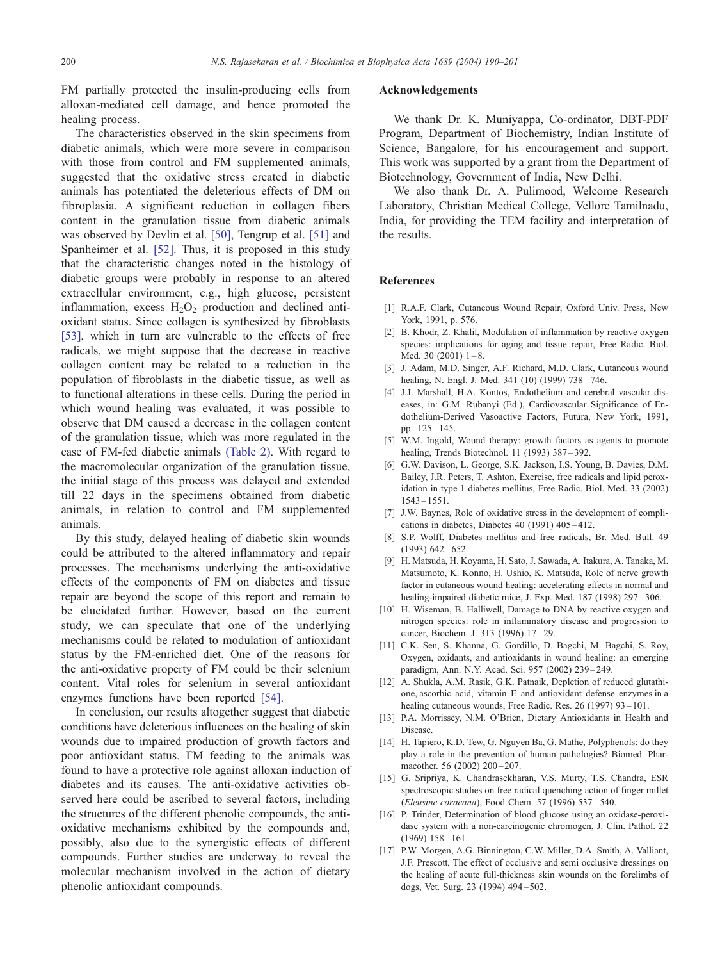FM partially protected the insulin-producing cells from alloxan-mediated cell damage, and hence promoted the healing process.

The characteristics observed in the skin specimens from diabetic animals, which were more severe in comparison with those from control and FM supplemented animals, suggested that the oxidative stress created in diabetic animals has potentiated the deleterious effects of DM on fibroplasia. A significant reduction in collagen fibers content in the granulation tissue from diabetic animals was observed by Devlin et al. [50], Tengrup et al. [51] and Spanheimer et al. [52]. Thus, it is proposed in this study that the characteristic changes noted in the histology of diabetic groups were probably in response to an altered extracellular environment, e.g., high glucose, persistent inflammation, excess  $H_2O_2$  production and declined antioxidant status. Since collagen is synthesized by fibroblasts [53], which in turn are vulnerable to the effects of free radicals, we might suppose that the decrease in reactive collagen content may be related to a reduction in the population of fibroblasts in the diabetic tissue, as well as to functional alterations in these cells. During the period in which wound healing was evaluated, it was possible to observe that DM caused a decrease in the collagen content of the granulation tissue, which was more regulated in the case of FM-fed diabetic animals (Table 2). With regard to the macromolecular organization of the granulation tissue, the initial stage of this process was delayed and extended till 22 days in the specimens obtained from diabetic animals, in relation to control and FM supplemented animals.

By this study, delayed healing of diabetic skin wounds could be attributed to the altered inflammatory and repair processes. The mechanisms underlying the anti-oxidative effects of the components of FM on diabetes and tissue repair are beyond the scope of this report and remain to be elucidated further. However, based on the current study, we can speculate that one of the underlying mechanisms could be related to modulation of antioxidant status by the FM-enriched diet. One of the reasons for the anti-oxidative property of FM could be their selenium content. Vital roles for selenium in several antioxidant enzymes functions have been reported [54].

In conclusion, our results altogether suggest that diabetic conditions have deleterious influences on the healing of skin wounds due to impaired production of growth factors and poor antioxidant status. FM feeding to the animals was found to have a protective role against alloxan induction of diabetes and its causes. The anti-oxidative activities observed here could be ascribed to several factors, including the structures of the different phenolic compounds, the antioxidative mechanisms exhibited by the compounds and, possibly, also due to the synergistic effects of different compounds. Further studies are underway to reveal the molecular mechanism involved in the action of dietary phenolic antioxidant compounds.

#### Acknowledgements

We thank Dr. K. Muniyappa, Co-ordinator, DBT-PDF Program, Department of Biochemistry, Indian Institute of Science, Bangalore, for his encouragement and support. This work was supported by a grant from the Department of Biotechnology, Government of India, New Delhi.

We also thank Dr. A. Pulimood, Welcome Research Laboratory, Christian Medical College, Vellore Tamilnadu, India, for providing the TEM facility and interpretation of the results.

#### References

- [1] R.A.F. Clark, Cutaneous Wound Repair, Oxford Univ. Press, New York, 1991, p. 576.
- [2] B. Khodr, Z. Khalil, Modulation of inflammation by reactive oxygen species: implications for aging and tissue repair, Free Radic. Biol. Med. 30  $(2001)$  1-8.
- [3] J. Adam, M.D. Singer, A.F. Richard, M.D. Clark, Cutaneous wound healing, N. Engl. J. Med. 341 (10) (1999) 738-746.
- [4] J.J. Marshall, H.A. Kontos, Endothelium and cerebral vascular diseases, in: G.M. Rubanyi (Ed.), Cardiovascular Significance of Endothelium-Derived Vasoactive Factors, Futura, New York, 1991, pp. 125 – 145.
- [5] W.M. Ingold, Wound therapy: growth factors as agents to promote healing, Trends Biotechnol. 11 (1993) 387 – 392.
- [6] G.W. Davison, L. George, S.K. Jackson, I.S. Young, B. Davies, D.M. Bailey, J.R. Peters, T. Ashton, Exercise, free radicals and lipid peroxidation in type 1 diabetes mellitus, Free Radic. Biol. Med. 33 (2002) 1543 – 1551.
- [7] J.W. Baynes, Role of oxidative stress in the development of complications in diabetes, Diabetes 40 (1991) 405-412.
- [8] S.P. Wolff, Diabetes mellitus and free radicals, Br. Med. Bull. 49  $(1993)$  642-652.
- [9] H. Matsuda, H. Koyama, H. Sato, J. Sawada, A. Itakura, A. Tanaka, M. Matsumoto, K. Konno, H. Ushio, K. Matsuda, Role of nerve growth factor in cutaneous wound healing: accelerating effects in normal and healing-impaired diabetic mice, J. Exp. Med. 187 (1998) 297-306.
- [10] H. Wiseman, B. Halliwell, Damage to DNA by reactive oxygen and nitrogen species: role in inflammatory disease and progression to cancer, Biochem. J. 313 (1996) 17-29.
- [11] C.K. Sen, S. Khanna, G. Gordillo, D. Bagchi, M. Bagchi, S. Roy, Oxygen, oxidants, and antioxidants in wound healing: an emerging paradigm, Ann. N.Y. Acad. Sci. 957 (2002) 239 – 249.
- [12] A. Shukla, A.M. Rasik, G.K. Patnaik, Depletion of reduced glutathione, ascorbic acid, vitamin E and antioxidant defense enzymes in a healing cutaneous wounds, Free Radic. Res. 26 (1997) 93 – 101.
- [13] P.A. Morrissey, N.M. O'Brien, Dietary Antioxidants in Health and Disease.
- [14] H. Tapiero, K.D. Tew, G. Nguyen Ba, G. Mathe, Polyphenols: do they play a role in the prevention of human pathologies? Biomed. Pharmacother. 56 (2002) 200-207.
- [15] G. Sripriya, K. Chandrasekharan, V.S. Murty, T.S. Chandra, ESR spectroscopic studies on free radical quenching action of finger millet (*Eleusine coracana*), Food Chem. 57 (1996) 537 – 540.
- [16] P. Trinder, Determination of blood glucose using an oxidase-peroxidase system with a non-carcinogenic chromogen, J. Clin. Pathol. 22  $(1969)$  158 – 161.
- [17] P.W. Morgen, A.G. Binnington, C.W. Miller, D.A. Smith, A. Valliant, J.F. Prescott, The effect of occlusive and semi occlusive dressings on the healing of acute full-thickness skin wounds on the forelimbs of dogs, Vet. Surg. 23 (1994) 494-502.